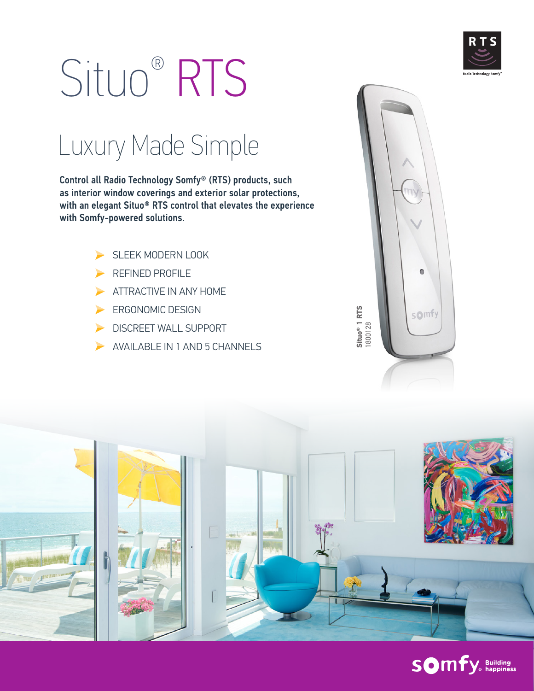

# Situo® RTS

### Luxury Made Simple

Control all Radio Technology Somfy® (RTS) products, such as interior window coverings and exterior solar protections, with an elegant Situo® RTS control that elevates the experience with Somfy-powered solutions.

- SLEEK MODERN LOOK
- REFINED PROFILE
- ATTRACTIVE IN ANY HOME  $\blacktriangleright$
- ERGONOMIC DESIGN ►
- DISCREET WALL SUPPORT
- AVAILABLE IN 1 AND 5 CHANNELS